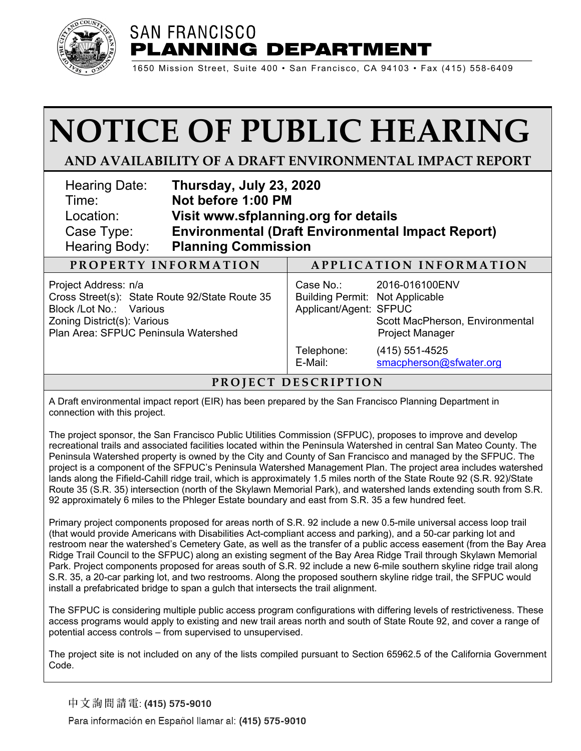

## **SAN FRANCISCO PLANNING DEPARTMENT**

1650 Mission Street, Suite 400 • San Francisco, CA 94103 • Fax (415) 558-6409

# **NOTICE OF PUBLIC HEARING**

### **AND AVAILABILITY OF A DRAFT ENVIRONMENTAL IMPACT REPORT**

| Hearing Date:<br>Time:<br>Location:<br>Case Type:<br><b>Hearing Body:</b>                                                                                                | Thursday, July 23, 2020<br>Not before 1:00 PM<br>Visit www.sfplanning.org for details<br><b>Environmental (Draft Environmental Impact Report)</b><br><b>Planning Commission</b> |                                                                               |                                                                             |
|--------------------------------------------------------------------------------------------------------------------------------------------------------------------------|---------------------------------------------------------------------------------------------------------------------------------------------------------------------------------|-------------------------------------------------------------------------------|-----------------------------------------------------------------------------|
| PROPERTY INFORMATION                                                                                                                                                     |                                                                                                                                                                                 |                                                                               | APPLICATION INFORMATION                                                     |
| Project Address: n/a<br>Cross Street(s): State Route 92/State Route 35<br>Block /Lot No.: Various<br>Zoning District(s): Various<br>Plan Area: SFPUC Peninsula Watershed |                                                                                                                                                                                 | Case No.:<br><b>Building Permit: Not Applicable</b><br>Applicant/Agent: SFPUC | 2016-016100ENV<br>Scott MacPherson, Environmental<br><b>Project Manager</b> |
|                                                                                                                                                                          |                                                                                                                                                                                 | Telephone:                                                                    | $(415)$ 551-4525                                                            |

#### **PROJECT DES C RIPTION**

E-Mail: [smacpherson@sfwater.org](mailto:smacpherson@sfwater.org)

A Draft environmental impact report (EIR) has been prepared by the San Francisco Planning Department in connection with this project.

The project sponsor, the San Francisco Public Utilities Commission (SFPUC), proposes to improve and develop recreational trails and associated facilities located within the Peninsula Watershed in central San Mateo County. The Peninsula Watershed property is owned by the City and County of San Francisco and managed by the SFPUC. The project is a component of the SFPUC's Peninsula Watershed Management Plan. The project area includes watershed lands along the Fifield-Cahill ridge trail, which is approximately 1.5 miles north of the State Route 92 (S.R. 92)/State Route 35 (S.R. 35) intersection (north of the Skylawn Memorial Park), and watershed lands extending south from S.R. 92 approximately 6 miles to the Phleger Estate boundary and east from S.R. 35 a few hundred feet.

Primary project components proposed for areas north of S.R. 92 include a new 0.5-mile universal access loop trail (that would provide Americans with Disabilities Act-compliant access and parking), and a 50-car parking lot and restroom near the watershed's Cemetery Gate, as well as the transfer of a public access easement (from the Bay Area Ridge Trail Council to the SFPUC) along an existing segment of the Bay Area Ridge Trail through Skylawn Memorial Park. Project components proposed for areas south of S.R. 92 include a new 6-mile southern skyline ridge trail along S.R. 35, a 20-car parking lot, and two restrooms. Along the proposed southern skyline ridge trail, the SFPUC would install a prefabricated bridge to span a gulch that intersects the trail alignment.

The SFPUC is considering multiple public access program configurations with differing levels of restrictiveness. These access programs would apply to existing and new trail areas north and south of State Route 92, and cover a range of potential access controls – from supervised to unsupervised.

The project site is not included on any of the lists compiled pursuant to Section 65962.5 of the California Government Code.